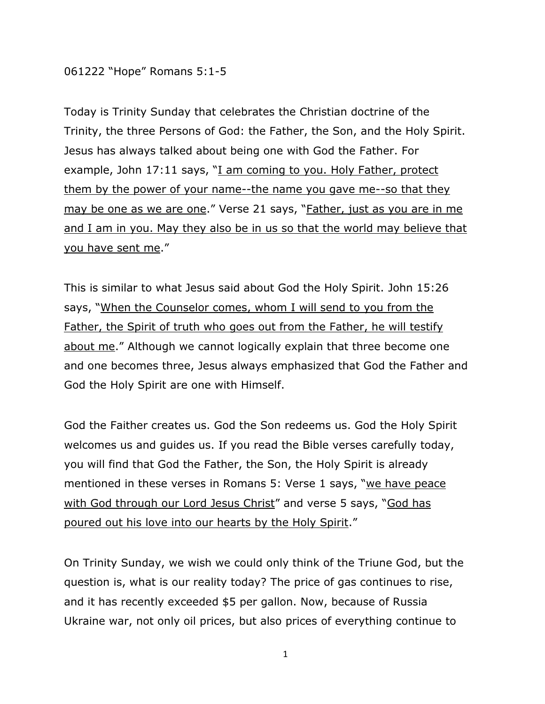## 061222 "Hope" Romans 5:1-5

Today is Trinity Sunday that celebrates the Christian doctrine of the Trinity, the three Persons of God: the Father, the Son, and the Holy Spirit. Jesus has always talked about being one with God the Father. For example, John 17:11 says, "I am coming to you. Holy Father, protect them by the power of your name--the name you gave me--so that they may be one as we are one." Verse 21 says, "Father, just as you are in me and I am in you. May they also be in us so that the world may believe that you have sent me."

This is similar to what Jesus said about God the Holy Spirit. John 15:26 says, "When the Counselor comes, whom I will send to you from the Father, the Spirit of truth who goes out from the Father, he will testify about me." Although we cannot logically explain that three become one and one becomes three, Jesus always emphasized that God the Father and God the Holy Spirit are one with Himself.

God the Faither creates us. God the Son redeems us. God the Holy Spirit welcomes us and guides us. If you read the Bible verses carefully today, you will find that God the Father, the Son, the Holy Spirit is already mentioned in these verses in Romans 5: Verse 1 says, "we have peace with God through our Lord Jesus Christ" and verse 5 says, "God has poured out his love into our hearts by the Holy Spirit."

On Trinity Sunday, we wish we could only think of the Triune God, but the question is, what is our reality today? The price of gas continues to rise, and it has recently exceeded \$5 per gallon. Now, because of Russia Ukraine war, not only oil prices, but also prices of everything continue to

1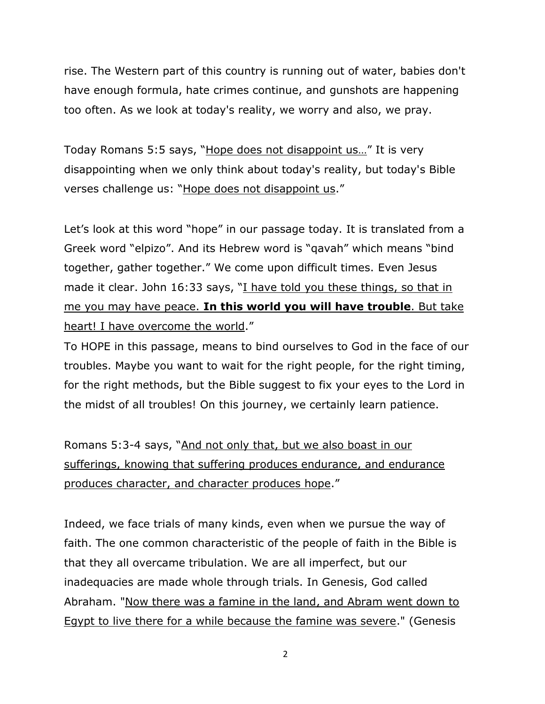rise. The Western part of this country is running out of water, babies don't have enough formula, hate crimes continue, and gunshots are happening too often. As we look at today's reality, we worry and also, we pray.

Today Romans 5:5 says, "Hope does not disappoint us…" It is very disappointing when we only think about today's reality, but today's Bible verses challenge us: "Hope does not disappoint us."

Let's look at this word "hope" in our passage today. It is translated from a Greek word "elpizo". And its Hebrew word is "qavah" which means "bind together, gather together." We come upon difficult times. Even Jesus made it clear. John 16:33 says, "I have told you these things, so that in me you may have peace. **In this world you will have trouble**. But take heart! I have overcome the world."

To HOPE in this passage, means to bind ourselves to God in the face of our troubles. Maybe you want to wait for the right people, for the right timing, for the right methods, but the Bible suggest to fix your eyes to the Lord in the midst of all troubles! On this journey, we certainly learn patience.

Romans 5:3-4 says, "And not only that, but we also boast in our sufferings, knowing that suffering produces endurance, and endurance produces character, and character produces hope."

Indeed, we face trials of many kinds, even when we pursue the way of faith. The one common characteristic of the people of faith in the Bible is that they all overcame tribulation. We are all imperfect, but our inadequacies are made whole through trials. In Genesis, God called Abraham. "Now there was a famine in the land, and Abram went down to Egypt to live there for a while because the famine was severe." (Genesis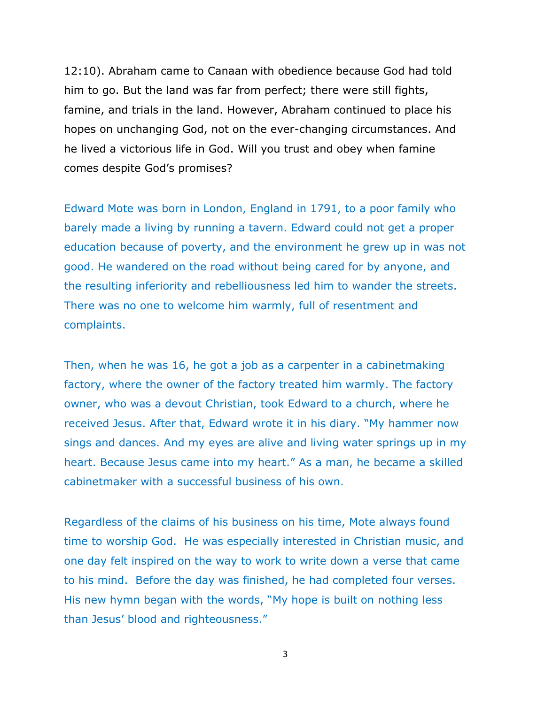12:10). Abraham came to Canaan with obedience because God had told him to go. But the land was far from perfect; there were still fights, famine, and trials in the land. However, Abraham continued to place his hopes on unchanging God, not on the ever-changing circumstances. And he lived a victorious life in God. Will you trust and obey when famine comes despite God's promises?

Edward Mote was born in London, England in 1791, to a poor family who barely made a living by running a tavern. Edward could not get a proper education because of poverty, and the environment he grew up in was not good. He wandered on the road without being cared for by anyone, and the resulting inferiority and rebelliousness led him to wander the streets. There was no one to welcome him warmly, full of resentment and complaints.

Then, when he was 16, he got a job as a carpenter in a cabinetmaking factory, where the owner of the factory treated him warmly. The factory owner, who was a devout Christian, took Edward to a church, where he received Jesus. After that, Edward wrote it in his diary. "My hammer now sings and dances. And my eyes are alive and living water springs up in my heart. Because Jesus came into my heart." As a man, he became a skilled cabinetmaker with a successful business of his own.

Regardless of the claims of his business on his time, Mote always found time to worship God. He was especially interested in Christian music, and one day felt inspired on the way to work to write down a verse that came to his mind. Before the day was finished, he had completed four verses. His new hymn began with the words, "My hope is built on nothing less than Jesus' blood and righteousness."